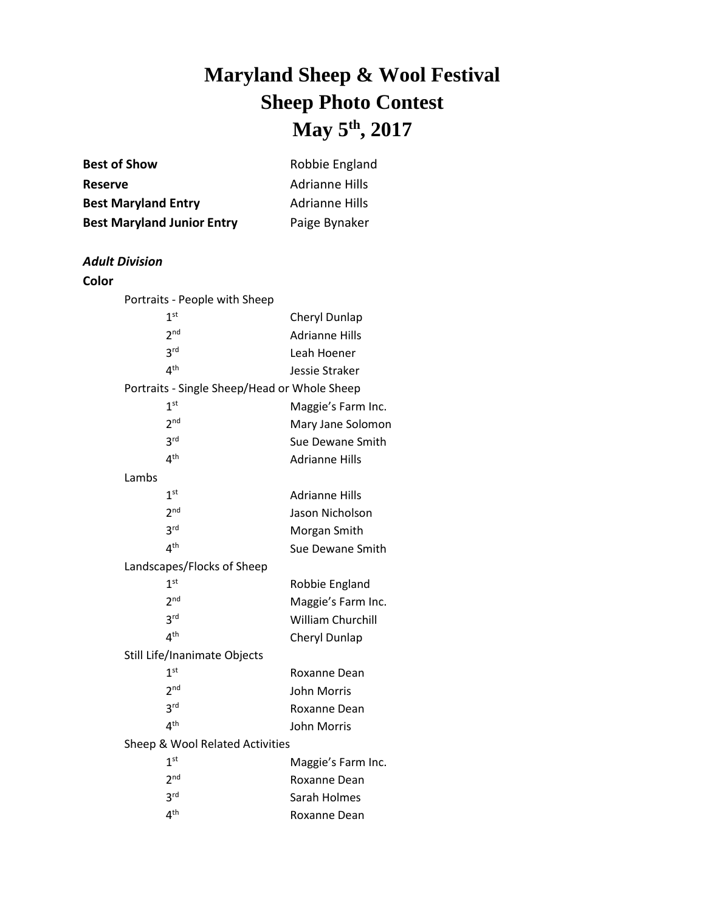## **Maryland Sheep & Wool Festival Sheep Photo Contest May 5 th , 2017**

| <b>Best of Show</b>                          | Robbie England        |
|----------------------------------------------|-----------------------|
| <b>Reserve</b>                               | <b>Adrianne Hills</b> |
| <b>Best Maryland Entry</b>                   | <b>Adrianne Hills</b> |
| <b>Best Maryland Junior Entry</b>            | Paige Bynaker         |
|                                              |                       |
| Adult Division                               |                       |
| Color                                        |                       |
| Portraits - People with Sheep                |                       |
| 1 <sup>st</sup>                              | Cheryl Dunlap         |
| 2 <sup>nd</sup>                              | <b>Adrianne Hills</b> |
| 3 <sup>rd</sup>                              | Leah Hoener           |
| 4 <sup>th</sup>                              | Jessie Straker        |
| Portraits - Single Sheep/Head or Whole Sheep |                       |
| 1 <sup>st</sup>                              | Maggie's Farm Inc.    |
| 2 <sup>nd</sup>                              | Mary Jane Solomon     |
| 3 <sup>rd</sup>                              | Sue Dewane Smith      |
| 4 <sup>th</sup>                              | <b>Adrianne Hills</b> |
| Lambs                                        |                       |
| 1 <sup>st</sup>                              | <b>Adrianne Hills</b> |
| 2 <sup>nd</sup>                              | Jason Nicholson       |
| 3 <sup>rd</sup>                              | Morgan Smith          |
| 4 <sup>th</sup>                              | Sue Dewane Smith      |
| Landscapes/Flocks of Sheep                   |                       |
| 1 <sup>st</sup>                              | Robbie England        |
| 2 <sup>nd</sup>                              | Maggie's Farm Inc.    |
| 3 <sup>rd</sup>                              | William Churchill     |
| 4 <sup>th</sup>                              | Cheryl Dunlap         |
| Still Life/Inanimate Objects                 |                       |
| 1 <sup>st</sup>                              | Roxanne Dean          |
| 2 <sub>nd</sub>                              | John Morris           |
| 3 <sup>rd</sup>                              | Roxanne Dean          |
| 4 <sup>th</sup>                              | <b>John Morris</b>    |

Sheep & Wool Related Activities

| Maggie's Farm Inc. |
|--------------------|
|                    |
|                    |
|                    |
|                    |